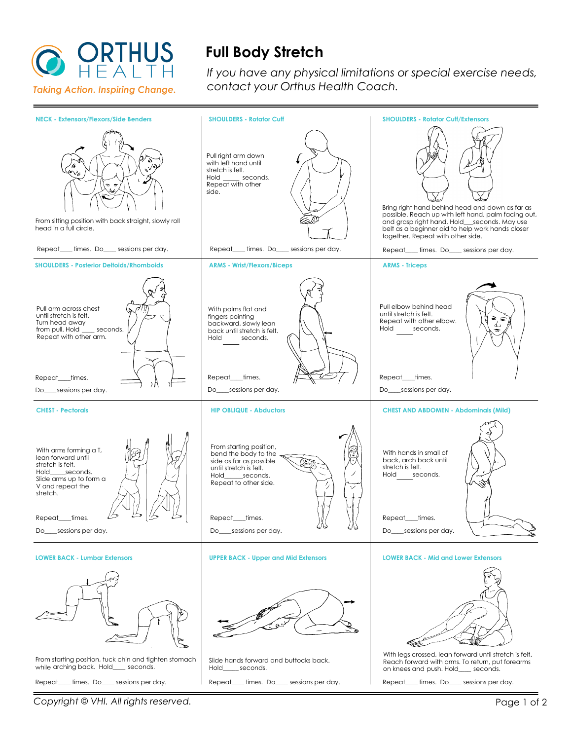

## **Full Body Stretch**

*If you have any physical limitations or special exercise needs, contact your Orthus Health Coach.*